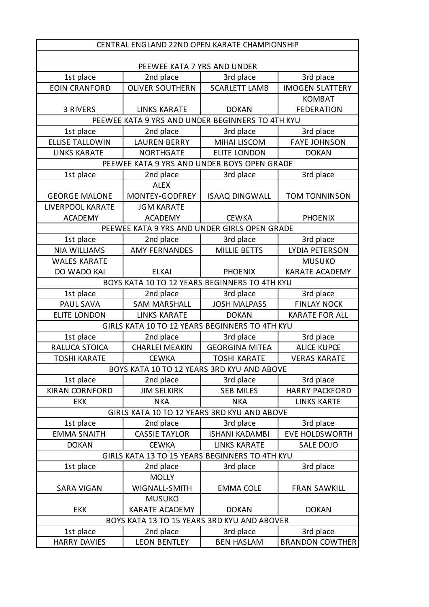| PEEWEE KATA 7 YRS AND UNDER<br>1st place<br>3rd place<br>2nd place<br>3rd place<br><b>EOIN CRANFORD</b><br><b>OLIVER SOUTHERN</b><br><b>SCARLETT LAMB</b><br><b>IMOGEN SLATTERY</b><br><b>KOMBAT</b><br>3 RIVERS<br><b>LINKS KARATE</b><br><b>DOKAN</b><br><b>FEDERATION</b><br>PEEWEE KATA 9 YRS AND UNDER BEGINNERS TO 4TH KYU<br>1st place<br>3rd place<br>3rd place<br>2nd place<br><b>ELLISE TALLOWIN</b><br><b>LAUREN BERRY</b><br><b>MIHAI LISCOM</b><br><b>FAYE JOHNSON</b><br><b>LINKS KARATE</b><br><b>NORTHGATE</b><br><b>ELITE LONDON</b><br><b>DOKAN</b><br>PEEWEE KATA 9 YRS AND UNDER BOYS OPEN GRADE<br>1st place<br>2nd place<br>3rd place<br>3rd place<br><b>ALEX</b><br>MONTEY-GODFREY<br><b>TOM TONNINSON</b><br><b>GEORGE MALONE</b><br><b>ISAAQ DINGWALL</b><br>LIVERPOOL KARATE<br><b>JGM KARATE</b><br><b>CEWKA</b><br><b>ACADEMY</b><br><b>ACADEMY</b><br><b>PHOENIX</b><br>PEEWEE KATA 9 YRS AND UNDER GIRLS OPEN GRADE<br>3rd place<br>1st place<br>2nd place<br>3rd place<br><b>NIA WILLIAMS</b><br><b>AMY FERNANDES</b><br><b>MILLIE BETTS</b><br>LYDIA PETERSON<br><b>WALES KARATE</b><br><b>MUSUKO</b><br>DO WADO KAI<br><b>KARATE ACADEMY</b><br><b>ELKAI</b><br><b>PHOENIX</b><br>BOYS KATA 10 TO 12 YEARS BEGINNERS TO 4TH KYU<br>1st place<br>3rd place<br>2nd place<br>3rd place<br>PAUL SAVA<br><b>JOSH MALPASS</b><br><b>SAM MARSHALL</b><br><b>FINLAY NOCK</b><br><b>ELITE LONDON</b><br><b>LINKS KARATE</b><br><b>DOKAN</b><br><b>KARATE FOR ALL</b><br>GIRLS KATA 10 TO 12 YEARS BEGINNERS TO 4TH KYU<br>3rd place<br>1st place<br>2nd place<br>3rd place<br>RALUCA STOICA<br><b>GEORGINA MITEA</b><br><b>ALICE KUPCE</b><br><b>CHARLEI MEAKIN</b><br><b>VERAS KARATE</b><br><b>TOSHI KARATE</b><br><b>CEWKA</b><br><b>TOSHI KARATE</b><br>BOYS KATA 10 TO 12 YEARS 3RD KYU AND ABOVE<br>1st place<br>2nd place<br>3rd place<br>3rd place<br><b>KIRAN CORNFORD</b><br><b>SEB MILES</b><br><b>HARRY PACKFORD</b><br><b>JIM SELKIRK</b><br><b>NKA</b><br><b>NKA</b><br><b>EKK</b><br><b>LINKS KARTE</b><br>GIRLS KATA 10 TO 12 YEARS 3RD KYU AND ABOVE<br>3rd place<br>1st place<br>2nd place<br>3rd place<br><b>CASSIE TAYLOR</b><br><b>EMMA SNAITH</b><br><b>ISHANI KADAMBI</b><br><b>EVE HOLDSWORTH</b><br><b>DOKAN</b><br><b>CEWKA</b><br><b>LINKS KARATE</b><br>SALE DOJO<br>GIRLS KATA 13 TO 15 YEARS BEGINNERS TO 4TH KYU<br>1st place<br>2nd place<br>3rd place<br>3rd place<br><b>MOLLY</b><br>WIGNALL-SMITH<br><b>SARA VIGAN</b><br><b>EMMA COLE</b><br><b>FRAN SAWKILL</b><br><b>MUSUKO</b><br>KARATE ACADEMY<br><b>EKK</b><br><b>DOKAN</b><br><b>DOKAN</b> | CENTRAL ENGLAND 22ND OPEN KARATE CHAMPIONSHIP |  |  |  |  |
|---------------------------------------------------------------------------------------------------------------------------------------------------------------------------------------------------------------------------------------------------------------------------------------------------------------------------------------------------------------------------------------------------------------------------------------------------------------------------------------------------------------------------------------------------------------------------------------------------------------------------------------------------------------------------------------------------------------------------------------------------------------------------------------------------------------------------------------------------------------------------------------------------------------------------------------------------------------------------------------------------------------------------------------------------------------------------------------------------------------------------------------------------------------------------------------------------------------------------------------------------------------------------------------------------------------------------------------------------------------------------------------------------------------------------------------------------------------------------------------------------------------------------------------------------------------------------------------------------------------------------------------------------------------------------------------------------------------------------------------------------------------------------------------------------------------------------------------------------------------------------------------------------------------------------------------------------------------------------------------------------------------------------------------------------------------------------------------------------------------------------------------------------------------------------------------------------------------------------------------------------------------------------------------------------------------------------------------------------------------------------------------------------------------------------------------------------------------------------------------------------------------------------------------------------------------------------------------------------------------|-----------------------------------------------|--|--|--|--|
|                                                                                                                                                                                                                                                                                                                                                                                                                                                                                                                                                                                                                                                                                                                                                                                                                                                                                                                                                                                                                                                                                                                                                                                                                                                                                                                                                                                                                                                                                                                                                                                                                                                                                                                                                                                                                                                                                                                                                                                                                                                                                                                                                                                                                                                                                                                                                                                                                                                                                                                                                                                                               |                                               |  |  |  |  |
|                                                                                                                                                                                                                                                                                                                                                                                                                                                                                                                                                                                                                                                                                                                                                                                                                                                                                                                                                                                                                                                                                                                                                                                                                                                                                                                                                                                                                                                                                                                                                                                                                                                                                                                                                                                                                                                                                                                                                                                                                                                                                                                                                                                                                                                                                                                                                                                                                                                                                                                                                                                                               |                                               |  |  |  |  |
|                                                                                                                                                                                                                                                                                                                                                                                                                                                                                                                                                                                                                                                                                                                                                                                                                                                                                                                                                                                                                                                                                                                                                                                                                                                                                                                                                                                                                                                                                                                                                                                                                                                                                                                                                                                                                                                                                                                                                                                                                                                                                                                                                                                                                                                                                                                                                                                                                                                                                                                                                                                                               |                                               |  |  |  |  |
|                                                                                                                                                                                                                                                                                                                                                                                                                                                                                                                                                                                                                                                                                                                                                                                                                                                                                                                                                                                                                                                                                                                                                                                                                                                                                                                                                                                                                                                                                                                                                                                                                                                                                                                                                                                                                                                                                                                                                                                                                                                                                                                                                                                                                                                                                                                                                                                                                                                                                                                                                                                                               |                                               |  |  |  |  |
|                                                                                                                                                                                                                                                                                                                                                                                                                                                                                                                                                                                                                                                                                                                                                                                                                                                                                                                                                                                                                                                                                                                                                                                                                                                                                                                                                                                                                                                                                                                                                                                                                                                                                                                                                                                                                                                                                                                                                                                                                                                                                                                                                                                                                                                                                                                                                                                                                                                                                                                                                                                                               |                                               |  |  |  |  |
|                                                                                                                                                                                                                                                                                                                                                                                                                                                                                                                                                                                                                                                                                                                                                                                                                                                                                                                                                                                                                                                                                                                                                                                                                                                                                                                                                                                                                                                                                                                                                                                                                                                                                                                                                                                                                                                                                                                                                                                                                                                                                                                                                                                                                                                                                                                                                                                                                                                                                                                                                                                                               |                                               |  |  |  |  |
|                                                                                                                                                                                                                                                                                                                                                                                                                                                                                                                                                                                                                                                                                                                                                                                                                                                                                                                                                                                                                                                                                                                                                                                                                                                                                                                                                                                                                                                                                                                                                                                                                                                                                                                                                                                                                                                                                                                                                                                                                                                                                                                                                                                                                                                                                                                                                                                                                                                                                                                                                                                                               |                                               |  |  |  |  |
|                                                                                                                                                                                                                                                                                                                                                                                                                                                                                                                                                                                                                                                                                                                                                                                                                                                                                                                                                                                                                                                                                                                                                                                                                                                                                                                                                                                                                                                                                                                                                                                                                                                                                                                                                                                                                                                                                                                                                                                                                                                                                                                                                                                                                                                                                                                                                                                                                                                                                                                                                                                                               |                                               |  |  |  |  |
|                                                                                                                                                                                                                                                                                                                                                                                                                                                                                                                                                                                                                                                                                                                                                                                                                                                                                                                                                                                                                                                                                                                                                                                                                                                                                                                                                                                                                                                                                                                                                                                                                                                                                                                                                                                                                                                                                                                                                                                                                                                                                                                                                                                                                                                                                                                                                                                                                                                                                                                                                                                                               |                                               |  |  |  |  |
|                                                                                                                                                                                                                                                                                                                                                                                                                                                                                                                                                                                                                                                                                                                                                                                                                                                                                                                                                                                                                                                                                                                                                                                                                                                                                                                                                                                                                                                                                                                                                                                                                                                                                                                                                                                                                                                                                                                                                                                                                                                                                                                                                                                                                                                                                                                                                                                                                                                                                                                                                                                                               |                                               |  |  |  |  |
|                                                                                                                                                                                                                                                                                                                                                                                                                                                                                                                                                                                                                                                                                                                                                                                                                                                                                                                                                                                                                                                                                                                                                                                                                                                                                                                                                                                                                                                                                                                                                                                                                                                                                                                                                                                                                                                                                                                                                                                                                                                                                                                                                                                                                                                                                                                                                                                                                                                                                                                                                                                                               |                                               |  |  |  |  |
|                                                                                                                                                                                                                                                                                                                                                                                                                                                                                                                                                                                                                                                                                                                                                                                                                                                                                                                                                                                                                                                                                                                                                                                                                                                                                                                                                                                                                                                                                                                                                                                                                                                                                                                                                                                                                                                                                                                                                                                                                                                                                                                                                                                                                                                                                                                                                                                                                                                                                                                                                                                                               |                                               |  |  |  |  |
|                                                                                                                                                                                                                                                                                                                                                                                                                                                                                                                                                                                                                                                                                                                                                                                                                                                                                                                                                                                                                                                                                                                                                                                                                                                                                                                                                                                                                                                                                                                                                                                                                                                                                                                                                                                                                                                                                                                                                                                                                                                                                                                                                                                                                                                                                                                                                                                                                                                                                                                                                                                                               |                                               |  |  |  |  |
|                                                                                                                                                                                                                                                                                                                                                                                                                                                                                                                                                                                                                                                                                                                                                                                                                                                                                                                                                                                                                                                                                                                                                                                                                                                                                                                                                                                                                                                                                                                                                                                                                                                                                                                                                                                                                                                                                                                                                                                                                                                                                                                                                                                                                                                                                                                                                                                                                                                                                                                                                                                                               |                                               |  |  |  |  |
|                                                                                                                                                                                                                                                                                                                                                                                                                                                                                                                                                                                                                                                                                                                                                                                                                                                                                                                                                                                                                                                                                                                                                                                                                                                                                                                                                                                                                                                                                                                                                                                                                                                                                                                                                                                                                                                                                                                                                                                                                                                                                                                                                                                                                                                                                                                                                                                                                                                                                                                                                                                                               |                                               |  |  |  |  |
|                                                                                                                                                                                                                                                                                                                                                                                                                                                                                                                                                                                                                                                                                                                                                                                                                                                                                                                                                                                                                                                                                                                                                                                                                                                                                                                                                                                                                                                                                                                                                                                                                                                                                                                                                                                                                                                                                                                                                                                                                                                                                                                                                                                                                                                                                                                                                                                                                                                                                                                                                                                                               |                                               |  |  |  |  |
|                                                                                                                                                                                                                                                                                                                                                                                                                                                                                                                                                                                                                                                                                                                                                                                                                                                                                                                                                                                                                                                                                                                                                                                                                                                                                                                                                                                                                                                                                                                                                                                                                                                                                                                                                                                                                                                                                                                                                                                                                                                                                                                                                                                                                                                                                                                                                                                                                                                                                                                                                                                                               |                                               |  |  |  |  |
|                                                                                                                                                                                                                                                                                                                                                                                                                                                                                                                                                                                                                                                                                                                                                                                                                                                                                                                                                                                                                                                                                                                                                                                                                                                                                                                                                                                                                                                                                                                                                                                                                                                                                                                                                                                                                                                                                                                                                                                                                                                                                                                                                                                                                                                                                                                                                                                                                                                                                                                                                                                                               |                                               |  |  |  |  |
|                                                                                                                                                                                                                                                                                                                                                                                                                                                                                                                                                                                                                                                                                                                                                                                                                                                                                                                                                                                                                                                                                                                                                                                                                                                                                                                                                                                                                                                                                                                                                                                                                                                                                                                                                                                                                                                                                                                                                                                                                                                                                                                                                                                                                                                                                                                                                                                                                                                                                                                                                                                                               |                                               |  |  |  |  |
|                                                                                                                                                                                                                                                                                                                                                                                                                                                                                                                                                                                                                                                                                                                                                                                                                                                                                                                                                                                                                                                                                                                                                                                                                                                                                                                                                                                                                                                                                                                                                                                                                                                                                                                                                                                                                                                                                                                                                                                                                                                                                                                                                                                                                                                                                                                                                                                                                                                                                                                                                                                                               |                                               |  |  |  |  |
|                                                                                                                                                                                                                                                                                                                                                                                                                                                                                                                                                                                                                                                                                                                                                                                                                                                                                                                                                                                                                                                                                                                                                                                                                                                                                                                                                                                                                                                                                                                                                                                                                                                                                                                                                                                                                                                                                                                                                                                                                                                                                                                                                                                                                                                                                                                                                                                                                                                                                                                                                                                                               |                                               |  |  |  |  |
|                                                                                                                                                                                                                                                                                                                                                                                                                                                                                                                                                                                                                                                                                                                                                                                                                                                                                                                                                                                                                                                                                                                                                                                                                                                                                                                                                                                                                                                                                                                                                                                                                                                                                                                                                                                                                                                                                                                                                                                                                                                                                                                                                                                                                                                                                                                                                                                                                                                                                                                                                                                                               |                                               |  |  |  |  |
|                                                                                                                                                                                                                                                                                                                                                                                                                                                                                                                                                                                                                                                                                                                                                                                                                                                                                                                                                                                                                                                                                                                                                                                                                                                                                                                                                                                                                                                                                                                                                                                                                                                                                                                                                                                                                                                                                                                                                                                                                                                                                                                                                                                                                                                                                                                                                                                                                                                                                                                                                                                                               |                                               |  |  |  |  |
|                                                                                                                                                                                                                                                                                                                                                                                                                                                                                                                                                                                                                                                                                                                                                                                                                                                                                                                                                                                                                                                                                                                                                                                                                                                                                                                                                                                                                                                                                                                                                                                                                                                                                                                                                                                                                                                                                                                                                                                                                                                                                                                                                                                                                                                                                                                                                                                                                                                                                                                                                                                                               |                                               |  |  |  |  |
|                                                                                                                                                                                                                                                                                                                                                                                                                                                                                                                                                                                                                                                                                                                                                                                                                                                                                                                                                                                                                                                                                                                                                                                                                                                                                                                                                                                                                                                                                                                                                                                                                                                                                                                                                                                                                                                                                                                                                                                                                                                                                                                                                                                                                                                                                                                                                                                                                                                                                                                                                                                                               |                                               |  |  |  |  |
|                                                                                                                                                                                                                                                                                                                                                                                                                                                                                                                                                                                                                                                                                                                                                                                                                                                                                                                                                                                                                                                                                                                                                                                                                                                                                                                                                                                                                                                                                                                                                                                                                                                                                                                                                                                                                                                                                                                                                                                                                                                                                                                                                                                                                                                                                                                                                                                                                                                                                                                                                                                                               |                                               |  |  |  |  |
|                                                                                                                                                                                                                                                                                                                                                                                                                                                                                                                                                                                                                                                                                                                                                                                                                                                                                                                                                                                                                                                                                                                                                                                                                                                                                                                                                                                                                                                                                                                                                                                                                                                                                                                                                                                                                                                                                                                                                                                                                                                                                                                                                                                                                                                                                                                                                                                                                                                                                                                                                                                                               |                                               |  |  |  |  |
|                                                                                                                                                                                                                                                                                                                                                                                                                                                                                                                                                                                                                                                                                                                                                                                                                                                                                                                                                                                                                                                                                                                                                                                                                                                                                                                                                                                                                                                                                                                                                                                                                                                                                                                                                                                                                                                                                                                                                                                                                                                                                                                                                                                                                                                                                                                                                                                                                                                                                                                                                                                                               |                                               |  |  |  |  |
|                                                                                                                                                                                                                                                                                                                                                                                                                                                                                                                                                                                                                                                                                                                                                                                                                                                                                                                                                                                                                                                                                                                                                                                                                                                                                                                                                                                                                                                                                                                                                                                                                                                                                                                                                                                                                                                                                                                                                                                                                                                                                                                                                                                                                                                                                                                                                                                                                                                                                                                                                                                                               |                                               |  |  |  |  |
|                                                                                                                                                                                                                                                                                                                                                                                                                                                                                                                                                                                                                                                                                                                                                                                                                                                                                                                                                                                                                                                                                                                                                                                                                                                                                                                                                                                                                                                                                                                                                                                                                                                                                                                                                                                                                                                                                                                                                                                                                                                                                                                                                                                                                                                                                                                                                                                                                                                                                                                                                                                                               |                                               |  |  |  |  |
|                                                                                                                                                                                                                                                                                                                                                                                                                                                                                                                                                                                                                                                                                                                                                                                                                                                                                                                                                                                                                                                                                                                                                                                                                                                                                                                                                                                                                                                                                                                                                                                                                                                                                                                                                                                                                                                                                                                                                                                                                                                                                                                                                                                                                                                                                                                                                                                                                                                                                                                                                                                                               |                                               |  |  |  |  |
|                                                                                                                                                                                                                                                                                                                                                                                                                                                                                                                                                                                                                                                                                                                                                                                                                                                                                                                                                                                                                                                                                                                                                                                                                                                                                                                                                                                                                                                                                                                                                                                                                                                                                                                                                                                                                                                                                                                                                                                                                                                                                                                                                                                                                                                                                                                                                                                                                                                                                                                                                                                                               |                                               |  |  |  |  |
|                                                                                                                                                                                                                                                                                                                                                                                                                                                                                                                                                                                                                                                                                                                                                                                                                                                                                                                                                                                                                                                                                                                                                                                                                                                                                                                                                                                                                                                                                                                                                                                                                                                                                                                                                                                                                                                                                                                                                                                                                                                                                                                                                                                                                                                                                                                                                                                                                                                                                                                                                                                                               |                                               |  |  |  |  |
|                                                                                                                                                                                                                                                                                                                                                                                                                                                                                                                                                                                                                                                                                                                                                                                                                                                                                                                                                                                                                                                                                                                                                                                                                                                                                                                                                                                                                                                                                                                                                                                                                                                                                                                                                                                                                                                                                                                                                                                                                                                                                                                                                                                                                                                                                                                                                                                                                                                                                                                                                                                                               |                                               |  |  |  |  |
|                                                                                                                                                                                                                                                                                                                                                                                                                                                                                                                                                                                                                                                                                                                                                                                                                                                                                                                                                                                                                                                                                                                                                                                                                                                                                                                                                                                                                                                                                                                                                                                                                                                                                                                                                                                                                                                                                                                                                                                                                                                                                                                                                                                                                                                                                                                                                                                                                                                                                                                                                                                                               |                                               |  |  |  |  |
|                                                                                                                                                                                                                                                                                                                                                                                                                                                                                                                                                                                                                                                                                                                                                                                                                                                                                                                                                                                                                                                                                                                                                                                                                                                                                                                                                                                                                                                                                                                                                                                                                                                                                                                                                                                                                                                                                                                                                                                                                                                                                                                                                                                                                                                                                                                                                                                                                                                                                                                                                                                                               |                                               |  |  |  |  |
|                                                                                                                                                                                                                                                                                                                                                                                                                                                                                                                                                                                                                                                                                                                                                                                                                                                                                                                                                                                                                                                                                                                                                                                                                                                                                                                                                                                                                                                                                                                                                                                                                                                                                                                                                                                                                                                                                                                                                                                                                                                                                                                                                                                                                                                                                                                                                                                                                                                                                                                                                                                                               |                                               |  |  |  |  |
|                                                                                                                                                                                                                                                                                                                                                                                                                                                                                                                                                                                                                                                                                                                                                                                                                                                                                                                                                                                                                                                                                                                                                                                                                                                                                                                                                                                                                                                                                                                                                                                                                                                                                                                                                                                                                                                                                                                                                                                                                                                                                                                                                                                                                                                                                                                                                                                                                                                                                                                                                                                                               |                                               |  |  |  |  |
|                                                                                                                                                                                                                                                                                                                                                                                                                                                                                                                                                                                                                                                                                                                                                                                                                                                                                                                                                                                                                                                                                                                                                                                                                                                                                                                                                                                                                                                                                                                                                                                                                                                                                                                                                                                                                                                                                                                                                                                                                                                                                                                                                                                                                                                                                                                                                                                                                                                                                                                                                                                                               |                                               |  |  |  |  |
|                                                                                                                                                                                                                                                                                                                                                                                                                                                                                                                                                                                                                                                                                                                                                                                                                                                                                                                                                                                                                                                                                                                                                                                                                                                                                                                                                                                                                                                                                                                                                                                                                                                                                                                                                                                                                                                                                                                                                                                                                                                                                                                                                                                                                                                                                                                                                                                                                                                                                                                                                                                                               |                                               |  |  |  |  |
|                                                                                                                                                                                                                                                                                                                                                                                                                                                                                                                                                                                                                                                                                                                                                                                                                                                                                                                                                                                                                                                                                                                                                                                                                                                                                                                                                                                                                                                                                                                                                                                                                                                                                                                                                                                                                                                                                                                                                                                                                                                                                                                                                                                                                                                                                                                                                                                                                                                                                                                                                                                                               |                                               |  |  |  |  |
|                                                                                                                                                                                                                                                                                                                                                                                                                                                                                                                                                                                                                                                                                                                                                                                                                                                                                                                                                                                                                                                                                                                                                                                                                                                                                                                                                                                                                                                                                                                                                                                                                                                                                                                                                                                                                                                                                                                                                                                                                                                                                                                                                                                                                                                                                                                                                                                                                                                                                                                                                                                                               |                                               |  |  |  |  |
|                                                                                                                                                                                                                                                                                                                                                                                                                                                                                                                                                                                                                                                                                                                                                                                                                                                                                                                                                                                                                                                                                                                                                                                                                                                                                                                                                                                                                                                                                                                                                                                                                                                                                                                                                                                                                                                                                                                                                                                                                                                                                                                                                                                                                                                                                                                                                                                                                                                                                                                                                                                                               |                                               |  |  |  |  |
| BOYS KATA 13 TO 15 YEARS 3RD KYU AND ABOVER                                                                                                                                                                                                                                                                                                                                                                                                                                                                                                                                                                                                                                                                                                                                                                                                                                                                                                                                                                                                                                                                                                                                                                                                                                                                                                                                                                                                                                                                                                                                                                                                                                                                                                                                                                                                                                                                                                                                                                                                                                                                                                                                                                                                                                                                                                                                                                                                                                                                                                                                                                   |                                               |  |  |  |  |
| 1st place<br>3rd place<br>2nd place<br>3rd place                                                                                                                                                                                                                                                                                                                                                                                                                                                                                                                                                                                                                                                                                                                                                                                                                                                                                                                                                                                                                                                                                                                                                                                                                                                                                                                                                                                                                                                                                                                                                                                                                                                                                                                                                                                                                                                                                                                                                                                                                                                                                                                                                                                                                                                                                                                                                                                                                                                                                                                                                              |                                               |  |  |  |  |
| <b>HARRY DAVIES</b><br><b>LEON BENTLEY</b><br><b>BEN HASLAM</b><br><b>BRANDON COWTHER</b>                                                                                                                                                                                                                                                                                                                                                                                                                                                                                                                                                                                                                                                                                                                                                                                                                                                                                                                                                                                                                                                                                                                                                                                                                                                                                                                                                                                                                                                                                                                                                                                                                                                                                                                                                                                                                                                                                                                                                                                                                                                                                                                                                                                                                                                                                                                                                                                                                                                                                                                     |                                               |  |  |  |  |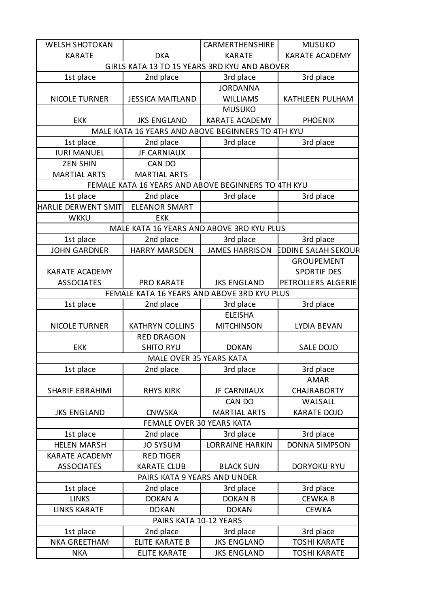| <b>WELSH SHOTOKAN</b>                        |                                                     | <b>CARMERTHENSHIRE</b> | <b>MUSUKO</b>              |  |
|----------------------------------------------|-----------------------------------------------------|------------------------|----------------------------|--|
| <b>KARATE</b>                                | <b>DKA</b>                                          | <b>KARATE</b>          | <b>KARATE ACADEMY</b>      |  |
| GIRLS KATA 13 TO 15 YEARS 3RD KYU AND ABOVER |                                                     |                        |                            |  |
| 1st place                                    | 2nd place                                           | 3rd place              | 3rd place                  |  |
|                                              |                                                     | <b>JORDANNA</b>        |                            |  |
| <b>NICOLE TURNER</b>                         | <b>JESSICA MAITLAND</b>                             | <b>WILLIAMS</b>        | KATHLEEN PULHAM            |  |
|                                              |                                                     | <b>MUSUKO</b>          |                            |  |
| <b>EKK</b>                                   | <b>JKS ENGLAND</b>                                  | <b>KARATE ACADEMY</b>  | <b>PHOENIX</b>             |  |
|                                              | MALE KATA 16 YEARS AND ABOVE BEGINNERS TO 4TH KYU   |                        |                            |  |
| 1st place                                    | 2nd place                                           | 3rd place              | 3rd place                  |  |
| <b>IURI MANUEL</b>                           | <b>JF CARNIAUX</b>                                  |                        |                            |  |
| <b>ZEN SHIN</b>                              | CAN DO                                              |                        |                            |  |
| <b>MARTIAL ARTS</b>                          | <b>MARTIAL ARTS</b>                                 |                        |                            |  |
|                                              | FEMALE KATA 16 YEARS AND ABOVE BEGINNERS TO 4TH KYU |                        |                            |  |
| 1st place                                    | 2nd place                                           | 3rd place              | 3rd place                  |  |
| HARLIE DERWENT SMIT                          | <b>ELEANOR SMART</b>                                |                        |                            |  |
| <b>WKKU</b>                                  | <b>EKK</b>                                          |                        |                            |  |
|                                              | MALE KATA 16 YEARS AND ABOVE 3RD KYU PLUS           |                        |                            |  |
| 1st place                                    | 2nd place                                           | 3rd place              | 3rd place                  |  |
| <b>JOHN GARDNER</b>                          | <b>HARRY MARSDEN</b>                                | <b>JAMES HARRISON</b>  | <b>EDDINE SALAH SEKOUR</b> |  |
|                                              |                                                     |                        | <b>GROUPEMENT</b>          |  |
| <b>KARATE ACADEMY</b>                        |                                                     |                        | <b>SPORTIF DES</b>         |  |
| <b>ASSOCIATES</b>                            | <b>PRO KARATE</b>                                   | <b>JKS ENGLAND</b>     | PETROLLERS ALGERIE         |  |
|                                              | FEMALE KATA 16 YEARS AND ABOVE 3RD KYU PLUS         |                        |                            |  |
| 1st place                                    | 2nd place                                           | 3rd place              | 3rd place                  |  |
|                                              |                                                     | <b>ELEISHA</b>         |                            |  |
| <b>NICOLE TURNER</b>                         | <b>KATHRYN COLLINS</b>                              | <b>MITCHINSON</b>      | LYDIA BEVAN                |  |
|                                              | <b>RED DRAGON</b>                                   |                        |                            |  |
| <b>EKK</b>                                   | <b>SHITO RYU</b>                                    | <b>DOKAN</b>           | SALE DOJO                  |  |
| <b>MALE OVER 35 YEARS KATA</b>               |                                                     |                        |                            |  |
| 1st place                                    | 2nd place                                           | 3rd place              | 3rd place                  |  |
|                                              |                                                     |                        | <b>AMAR</b>                |  |
| <b>SHARIF EBRAHIMI</b>                       | <b>RHYS KIRK</b>                                    | <b>JF CARNIIAUX</b>    | <b>CHAJRABORTY</b>         |  |
|                                              |                                                     | CAN DO                 | WALSALL                    |  |
| <b>JKS ENGLAND</b>                           | <b>CNWSKA</b>                                       | <b>MARTIAL ARTS</b>    | <b>KARATE DOJO</b>         |  |
|                                              | <b>FEMALE OVER 30 YEARS KATA</b>                    |                        |                            |  |
| 1st place                                    | 2nd place                                           | 3rd place              | 3rd place                  |  |
| <b>HELEN MARSH</b>                           | <b>JO SYSUM</b>                                     | <b>LORRAINE HARKIN</b> | <b>DONNA SIMPSON</b>       |  |
| <b>KARATE ACADEMY</b>                        | <b>RED TIGER</b>                                    |                        |                            |  |
| <b>ASSOCIATES</b>                            | <b>KARATE CLUB</b>                                  | <b>BLACK SUN</b>       | <b>DORYOKU RYU</b>         |  |
| PAIRS KATA 9 YEARS AND UNDER                 |                                                     |                        |                            |  |
| 1st place                                    | 2nd place                                           | 3rd place              | 3rd place                  |  |
| <b>LINKS</b>                                 | <b>DOKAN A</b>                                      | <b>DOKAN B</b>         | <b>CEWKAB</b>              |  |
| <b>LINKS KARATE</b>                          | <b>DOKAN</b>                                        | <b>DOKAN</b>           | <b>CEWKA</b>               |  |
| PAIRS KATA 10-12 YEARS                       |                                                     |                        |                            |  |
| 1st place                                    | 2nd place                                           | 3rd place              | 3rd place                  |  |
| <b>NKA GREETHAM</b>                          | <b>ELITE KARATE B</b>                               | <b>JKS ENGLAND</b>     | <b>TOSHI KARATE</b>        |  |
| <b>NKA</b>                                   | <b>ELITE KARATE</b>                                 | <b>JKS ENGLAND</b>     | <b>TOSHI KARATE</b>        |  |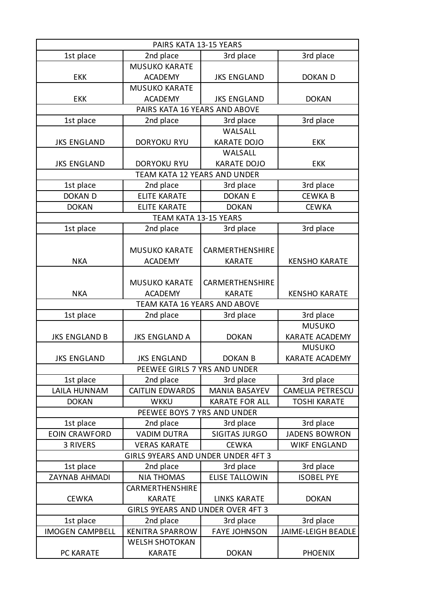| PAIRS KATA 13-15 YEARS             |                               |                       |                         |  |
|------------------------------------|-------------------------------|-----------------------|-------------------------|--|
| 1st place                          | 2nd place                     | 3rd place             | 3rd place               |  |
|                                    | <b>MUSUKO KARATE</b>          |                       |                         |  |
| <b>EKK</b>                         | <b>ACADEMY</b>                | <b>JKS ENGLAND</b>    | DOKAN D                 |  |
|                                    | <b>MUSUKO KARATE</b>          |                       |                         |  |
| <b>EKK</b>                         | <b>ACADEMY</b>                | <b>JKS ENGLAND</b>    | <b>DOKAN</b>            |  |
|                                    | PAIRS KATA 16 YEARS AND ABOVE |                       |                         |  |
| 1st place                          | 2nd place                     | 3rd place             | 3rd place               |  |
|                                    |                               | WALSALL               |                         |  |
| <b>JKS ENGLAND</b>                 | <b>DORYOKU RYU</b>            | <b>KARATE DOJO</b>    | <b>EKK</b>              |  |
|                                    |                               | WALSALL               |                         |  |
| <b>JKS ENGLAND</b>                 | <b>DORYOKU RYU</b>            | <b>KARATE DOJO</b>    | <b>EKK</b>              |  |
|                                    | TEAM KATA 12 YEARS AND UNDER  |                       |                         |  |
| 1st place                          | 2nd place                     | 3rd place             | 3rd place               |  |
| <b>DOKAN D</b>                     | <b>ELITE KARATE</b>           | <b>DOKAN E</b>        | <b>CEWKAB</b>           |  |
| <b>DOKAN</b>                       | <b>ELITE KARATE</b>           | <b>DOKAN</b>          | <b>CEWKA</b>            |  |
|                                    | TEAM KATA 13-15 YEARS         |                       |                         |  |
| 1st place                          | 2nd place                     | 3rd place             | 3rd place               |  |
|                                    |                               |                       |                         |  |
|                                    | <b>MUSUKO KARATE</b>          | CARMERTHENSHIRE       |                         |  |
| <b>NKA</b>                         | <b>ACADEMY</b>                | <b>KARATE</b>         | <b>KENSHO KARATE</b>    |  |
|                                    |                               |                       |                         |  |
|                                    | <b>MUSUKO KARATE</b>          | CARMERTHENSHIRE       |                         |  |
| <b>NKA</b>                         | <b>ACADEMY</b>                | <b>KARATE</b>         | <b>KENSHO KARATE</b>    |  |
|                                    | TEAM KATA 16 YEARS AND ABOVE  |                       |                         |  |
| 1st place                          | 2nd place                     | 3rd place             | 3rd place               |  |
|                                    |                               |                       | <b>MUSUKO</b>           |  |
| <b>JKS ENGLAND B</b>               | <b>JKS ENGLAND A</b>          | <b>DOKAN</b>          | KARATE ACADEMY          |  |
|                                    |                               |                       | <b>MUSUKO</b>           |  |
| <b>JKS ENGLAND</b>                 | <b>JKS ENGLAND</b>            | DOKAN B               | KARATE ACADEMY          |  |
| PEEWEE GIRLS 7 YRS AND UNDER       |                               |                       |                         |  |
| 1st place                          | 2nd place                     | 3rd place             | 3rd place               |  |
| LAILA HUNNAM                       | <b>CAITLIN EDWARDS</b>        | <b>MANIA BASAYEV</b>  | <b>CAMELIA PETRESCU</b> |  |
| <b>DOKAN</b>                       | <b>WKKU</b>                   | <b>KARATE FOR ALL</b> | <b>TOSHI KARATE</b>     |  |
|                                    | PEEWEE BOYS 7 YRS AND UNDER   |                       |                         |  |
| 1st place                          | 2nd place                     | 3rd place             | 3rd place               |  |
| <b>EOIN CRAWFORD</b>               | <b>VADIM DUTRA</b>            | <b>SIGITAS JURGO</b>  | <b>JADENS BOWRON</b>    |  |
| 3 RIVERS                           | <b>VERAS KARATE</b>           | <b>CEWKA</b>          | <b>WIKF ENGLAND</b>     |  |
| GIRLS 9YEARS AND UNDER UNDER 4FT 3 |                               |                       |                         |  |
| 1st place                          | 2nd place                     | 3rd place             | 3rd place               |  |
| ZAYNAB AHMADI                      | <b>NIA THOMAS</b>             | <b>ELISE TALLOWIN</b> | <b>ISOBEL PYE</b>       |  |
|                                    | <b>CARMERTHENSHIRE</b>        |                       |                         |  |
| <b>CEWKA</b>                       | <b>KARATE</b>                 | <b>LINKS KARATE</b>   | <b>DOKAN</b>            |  |
| GIRLS 9YEARS AND UNDER OVER 4FT 3  |                               |                       |                         |  |
| 1st place                          | 2nd place                     | 3rd place             | 3rd place               |  |
| <b>IMOGEN CAMPBELL</b>             | <b>KENITRA SPARROW</b>        | <b>FAYE JOHNSON</b>   | JAIME-LEIGH BEADLE      |  |
|                                    | <b>WELSH SHOTOKAN</b>         |                       |                         |  |
| PC KARATE                          | <b>KARATE</b>                 | <b>DOKAN</b>          | <b>PHOENIX</b>          |  |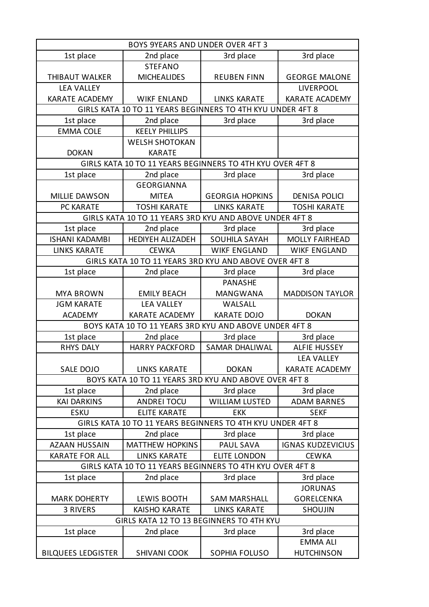| BOYS 9YEARS AND UNDER OVER 4FT 3                          |                                                            |                        |                          |  |
|-----------------------------------------------------------|------------------------------------------------------------|------------------------|--------------------------|--|
| 1st place                                                 | 2nd place                                                  | 3rd place              | 3rd place                |  |
|                                                           | <b>STEFANO</b>                                             |                        |                          |  |
| THIBAUT WALKER                                            | <b>MICHEALIDES</b>                                         | <b>REUBEN FINN</b>     | <b>GEORGE MALONE</b>     |  |
| <b>LEA VALLEY</b>                                         |                                                            |                        | <b>LIVERPOOL</b>         |  |
| <b>KARATE ACADEMY</b>                                     | <b>WIKF ENLAND</b>                                         | <b>LINKS KARATE</b>    | <b>KARATE ACADEMY</b>    |  |
|                                                           | GIRLS KATA 10 TO 11 YEARS BEGINNERS TO 4TH KYU UNDER 4FT 8 |                        |                          |  |
| 1st place                                                 | 2nd place                                                  | 3rd place              | 3rd place                |  |
| <b>EMMA COLE</b>                                          | <b>KEELY PHILLIPS</b>                                      |                        |                          |  |
|                                                           | <b>WELSH SHOTOKAN</b>                                      |                        |                          |  |
| <b>DOKAN</b>                                              | <b>KARATE</b>                                              |                        |                          |  |
|                                                           | GIRLS KATA 10 TO 11 YEARS BEGINNERS TO 4TH KYU OVER 4FT 8  |                        |                          |  |
| 1st place                                                 | 2nd place                                                  | 3rd place              | 3rd place                |  |
|                                                           | <b>GEORGIANNA</b>                                          |                        |                          |  |
| <b>MILLIE DAWSON</b>                                      | <b>MITEA</b>                                               | <b>GEORGIA HOPKINS</b> | <b>DENISA POLICI</b>     |  |
| PC KARATE                                                 | <b>TOSHI KARATE</b>                                        | <b>LINKS KARATE</b>    | <b>TOSHI KARATE</b>      |  |
|                                                           | GIRLS KATA 10 TO 11 YEARS 3RD KYU AND ABOVE UNDER 4FT 8    |                        |                          |  |
| 1st place                                                 | 2nd place                                                  | 3rd place              | 3rd place                |  |
| <b>ISHANI KADAMBI</b>                                     | HEDIYEH ALIZADEH                                           | <b>SOUHILA SAYAH</b>   | <b>MOLLY FAIRHEAD</b>    |  |
| <b>LINKS KARATE</b>                                       | <b>CEWKA</b>                                               | <b>WIKF ENGLAND</b>    | <b>WIKF ENGLAND</b>      |  |
|                                                           | GIRLS KATA 10 TO 11 YEARS 3RD KYU AND ABOVE OVER 4FT 8     |                        |                          |  |
| 1st place                                                 | 2nd place                                                  | 3rd place              | 3rd place                |  |
|                                                           |                                                            | <b>PANASHE</b>         |                          |  |
| <b>MYA BROWN</b>                                          | <b>EMILY BEACH</b>                                         | <b>MANGWANA</b>        | <b>MADDISON TAYLOR</b>   |  |
| <b>JGM KARATE</b>                                         | <b>LEA VALLEY</b>                                          | WALSALL                |                          |  |
| <b>ACADEMY</b>                                            | <b>KARATE ACADEMY</b>                                      | <b>KARATE DOJO</b>     | <b>DOKAN</b>             |  |
|                                                           | BOYS KATA 10 TO 11 YEARS 3RD KYU AND ABOVE UNDER 4FT 8     |                        |                          |  |
| 1st place                                                 | 2nd place                                                  | 3rd place              | 3rd place                |  |
| <b>RHYS DALY</b>                                          | <b>HARRY PACKFORD</b>                                      | <b>SAMAR DHALIWAL</b>  | <b>ALFIE HUSSEY</b>      |  |
|                                                           |                                                            |                        | <b>LEA VALLEY</b>        |  |
| SALE DOJO                                                 | <b>LINKS KARATE</b>                                        | <b>DOKAN</b>           | <b>KARATE ACADEMY</b>    |  |
|                                                           | BOYS KATA 10 TO 11 YEARS 3RD KYU AND ABOVE OVER 4FT 8      |                        |                          |  |
| 1st place                                                 | 2nd place                                                  | 3rd place              | 3rd place                |  |
| <b>KAI DARKINS</b>                                        | <b>ANDREI TOCU</b>                                         | <b>WILLIAM LUSTED</b>  | <b>ADAM BARNES</b>       |  |
| <b>ESKU</b>                                               | <b>ELITE KARATE</b>                                        | <b>EKK</b>             | <b>SEKF</b>              |  |
|                                                           | GIRLS KATA 10 TO 11 YEARS BEGINNERS TO 4TH KYU UNDER 4FT 8 |                        |                          |  |
| 1st place                                                 | 2nd place                                                  | 3rd place              | 3rd place                |  |
| <b>AZAAN HUSSAIN</b>                                      | <b>MATTHEW HOPKINS</b>                                     | PAUL SAVA              | <b>IGNAS KUDZEVICIUS</b> |  |
| <b>KARATE FOR ALL</b>                                     | <b>LINKS KARATE</b>                                        | <b>ELITE LONDON</b>    | <b>CEWKA</b>             |  |
| GIRLS KATA 10 TO 11 YEARS BEGINNERS TO 4TH KYU OVER 4FT 8 |                                                            |                        |                          |  |
| 1st place                                                 | 2nd place                                                  | 3rd place              | 3rd place                |  |
|                                                           |                                                            |                        | <b>JORUNAS</b>           |  |
| <b>MARK DOHERTY</b>                                       | LEWIS BOOTH                                                | <b>SAM MARSHALL</b>    | <b>GORELCENKA</b>        |  |
| 3 RIVERS                                                  | <b>KAISHO KARATE</b>                                       | <b>LINKS KARATE</b>    | <b>SHOUJIN</b>           |  |
| GIRLS KATA 12 TO 13 BEGINNERS TO 4TH KYU                  |                                                            |                        |                          |  |
| 1st place                                                 | 2nd place                                                  | 3rd place              | 3rd place                |  |
|                                                           |                                                            |                        | <b>EMMA ALI</b>          |  |
| <b>BILQUEES LEDGISTER</b>                                 | <b>SHIVANI COOK</b>                                        | SOPHIA FOLUSO          | <b>HUTCHINSON</b>        |  |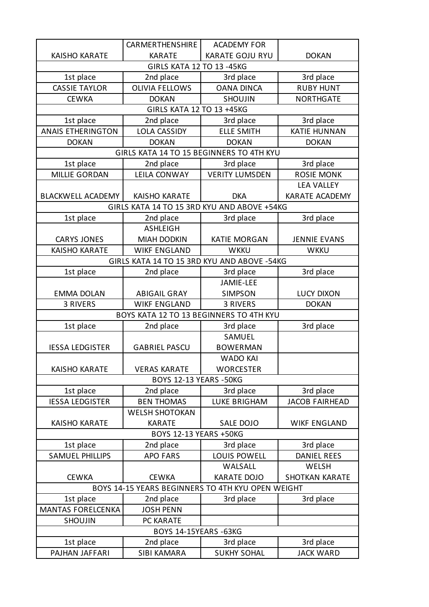|                                                   | CARMERTHENSHIRE                             | <b>ACADEMY FOR</b>     |                       |  |
|---------------------------------------------------|---------------------------------------------|------------------------|-----------------------|--|
| <b>KAISHO KARATE</b>                              | <b>KARATE</b>                               | <b>KARATE GOJU RYU</b> | <b>DOKAN</b>          |  |
| <b>GIRLS KATA 12 TO 13 -45KG</b>                  |                                             |                        |                       |  |
| 1st place                                         | 2nd place                                   | 3rd place              | 3rd place             |  |
| <b>CASSIE TAYLOR</b>                              | <b>OLIVIA FELLOWS</b>                       | <b>OANA DINCA</b>      | <b>RUBY HUNT</b>      |  |
| <b>CEWKA</b>                                      | <b>DOKAN</b>                                | <b>SHOUJIN</b>         | <b>NORTHGATE</b>      |  |
|                                                   | GIRLS KATA 12 TO 13 +45KG                   |                        |                       |  |
| 1st place                                         | 2nd place                                   | 3rd place              | 3rd place             |  |
| <b>ANAIS ETHERINGTON</b>                          | <b>LOLA CASSIDY</b>                         | <b>ELLE SMITH</b>      | <b>KATIE HUNNAN</b>   |  |
| <b>DOKAN</b>                                      | <b>DOKAN</b>                                | <b>DOKAN</b>           | <b>DOKAN</b>          |  |
|                                                   | GIRLS KATA 14 TO 15 BEGINNERS TO 4TH KYU    |                        |                       |  |
| 1st place                                         | 2nd place                                   | 3rd place              | 3rd place             |  |
| <b>MILLIE GORDAN</b>                              | <b>LEILA CONWAY</b>                         | <b>VERITY LUMSDEN</b>  | <b>ROSIE MONK</b>     |  |
|                                                   |                                             |                        | <b>LEA VALLEY</b>     |  |
| <b>BLACKWELL ACADEMY</b>                          | <b>KAISHO KARATE</b>                        | <b>DKA</b>             | <b>KARATE ACADEMY</b> |  |
|                                                   | GIRLS KATA 14 TO 15 3RD KYU AND ABOVE +54KG |                        |                       |  |
| 1st place                                         | 2nd place                                   | 3rd place              | 3rd place             |  |
|                                                   | <b>ASHLEIGH</b>                             |                        |                       |  |
| <b>CARYS JONES</b>                                | <b>MIAH DODKIN</b>                          | <b>KATIE MORGAN</b>    | <b>JENNIE EVANS</b>   |  |
| <b>KAISHO KARATE</b>                              | <b>WIKF ENGLAND</b>                         | <b>WKKU</b>            | <b>WKKU</b>           |  |
|                                                   | GIRLS KATA 14 TO 15 3RD KYU AND ABOVE -54KG |                        |                       |  |
| 1st place                                         | 2nd place                                   | 3rd place              | 3rd place             |  |
|                                                   |                                             | JAMIE-LEE              |                       |  |
| <b>EMMA DOLAN</b>                                 | <b>ABIGAIL GRAY</b>                         | <b>SIMPSON</b>         | <b>LUCY DIXON</b>     |  |
| 3 RIVERS                                          | <b>WIKF ENGLAND</b>                         | 3 RIVERS               | <b>DOKAN</b>          |  |
|                                                   | BOYS KATA 12 TO 13 BEGINNERS TO 4TH KYU     |                        |                       |  |
| 1st place                                         | 2nd place                                   | 3rd place              | 3rd place             |  |
|                                                   |                                             | SAMUEL                 |                       |  |
| <b>IESSA LEDGISTER</b>                            | <b>GABRIEL PASCU</b>                        | <b>BOWERMAN</b>        |                       |  |
|                                                   |                                             | <b>WADO KAI</b>        |                       |  |
| <b>KAISHO KARATE</b>                              | <b>VERAS KARATE</b>                         | <b>WORCESTER</b>       |                       |  |
|                                                   | <b>BOYS 12-13 YEARS -50KG</b>               |                        |                       |  |
| 1st place                                         | 2nd place                                   | 3rd place              | 3rd place             |  |
| <b>IESSA LEDGISTER</b>                            | <b>BEN THOMAS</b>                           | <b>LUKE BRIGHAM</b>    | <b>JACOB FAIRHEAD</b> |  |
|                                                   | <b>WELSH SHOTOKAN</b>                       |                        |                       |  |
| <b>KAISHO KARATE</b>                              | <b>KARATE</b>                               | SALE DOJO              | <b>WIKF ENGLAND</b>   |  |
| BOYS 12-13 YEARS +50KG                            |                                             |                        |                       |  |
| 1st place                                         | 2nd place                                   | 3rd place              | 3rd place             |  |
| <b>SAMUEL PHILLIPS</b>                            | <b>APO FARS</b>                             | LOUIS POWELL           | <b>DANIEL REES</b>    |  |
|                                                   |                                             | WALSALL                | <b>WELSH</b>          |  |
| <b>CEWKA</b>                                      | <b>CEWKA</b>                                | <b>KARATE DOJO</b>     | <b>SHOTKAN KARATE</b> |  |
| BOYS 14-15 YEARS BEGINNERS TO 4TH KYU OPEN WEIGHT |                                             |                        |                       |  |
| 1st place                                         | 2nd place                                   | 3rd place              | 3rd place             |  |
| <b>MANTAS FORELCENKA</b>                          | <b>JOSH PENN</b>                            |                        |                       |  |
| <b>SHOUJIN</b>                                    | PC KARATE                                   |                        |                       |  |
| <b>BOYS 14-15YEARS -63KG</b>                      |                                             |                        |                       |  |
| 1st place                                         | 2nd place                                   | 3rd place              | 3rd place             |  |
| PAJHAN JAFFARI                                    | SIBI KAMARA                                 | <b>SUKHY SOHAL</b>     | <b>JACK WARD</b>      |  |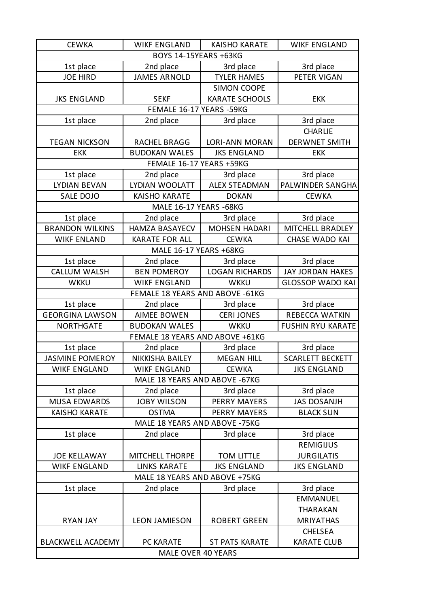| <b>CEWKA</b>                  | <b>WIKF ENGLAND</b>             | <b>KAISHO KARATE</b>  | <b>WIKF ENGLAND</b>      |  |
|-------------------------------|---------------------------------|-----------------------|--------------------------|--|
| BOYS 14-15YEARS +63KG         |                                 |                       |                          |  |
| 1st place                     | 2nd place                       | 3rd place             | 3rd place                |  |
| <b>JOE HIRD</b>               | <b>JAMES ARNOLD</b>             | <b>TYLER HAMES</b>    | PETER VIGAN              |  |
|                               |                                 | <b>SIMON COOPE</b>    |                          |  |
| <b>JKS ENGLAND</b>            | <b>SEKF</b>                     | <b>KARATE SCHOOLS</b> | <b>EKK</b>               |  |
|                               | FEMALE 16-17 YEARS -59KG        |                       |                          |  |
| 1st place                     | 2nd place                       | 3rd place             | 3rd place                |  |
|                               |                                 |                       | <b>CHARLIE</b>           |  |
| <b>TEGAN NICKSON</b>          | RACHEL BRAGG                    | <b>LORI-ANN MORAN</b> | <b>DERWNET SMITH</b>     |  |
| <b>EKK</b>                    | <b>BUDOKAN WALES</b>            | <b>JKS ENGLAND</b>    | <b>EKK</b>               |  |
|                               | FEMALE 16-17 YEARS +59KG        |                       |                          |  |
| 1st place                     | 2nd place                       | 3rd place             | 3rd place                |  |
| <b>LYDIAN BEVAN</b>           | LYDIAN WOOLATT                  | <b>ALEX STEADMAN</b>  | PALWINDER SANGHA         |  |
| SALE DOJO                     | <b>KAISHO KARATE</b>            | <b>DOKAN</b>          | <b>CEWKA</b>             |  |
|                               | MALE 16-17 YEARS -68KG          |                       |                          |  |
| 1st place                     | 2nd place                       | 3rd place             | 3rd place                |  |
| <b>BRANDON WILKINS</b>        | <b>HAMZA BASAYECV</b>           | <b>MOHSEN HADARI</b>  | MITCHELL BRADLEY         |  |
| <b>WIKF ENLAND</b>            | <b>KARATE FOR ALL</b>           | <b>CEWKA</b>          | CHASE WADO KAI           |  |
|                               | MALE 16-17 YEARS +68KG          |                       |                          |  |
| 1st place                     | 2nd place                       | 3rd place             | 3rd place                |  |
| <b>CALLUM WALSH</b>           | <b>BEN POMEROY</b>              | <b>LOGAN RICHARDS</b> | <b>JAY JORDAN HAKES</b>  |  |
| <b>WKKU</b>                   | <b>WIKF ENGLAND</b>             | <b>WKKU</b>           | <b>GLOSSOP WADO KAI</b>  |  |
|                               | FEMALE 18 YEARS AND ABOVE -61KG |                       |                          |  |
| 1st place                     | 2nd place                       | 3rd place             | 3rd place                |  |
| <b>GEORGINA LAWSON</b>        | <b>AIMEE BOWEN</b>              | <b>CERI JONES</b>     | REBECCA WATKIN           |  |
| <b>NORTHGATE</b>              | <b>BUDOKAN WALES</b>            | <b>WKKU</b>           | <b>FUSHIN RYU KARATE</b> |  |
|                               | FEMALE 18 YEARS AND ABOVE +61KG |                       |                          |  |
| 1st place                     | 2nd place                       | 3rd place             | 3rd place                |  |
| <b>JASMINE POMEROY</b>        | NIKKISHA BAILEY                 | <b>MEGAN HILL</b>     | <b>SCARLETT BECKETT</b>  |  |
| <b>WIKF ENGLAND</b>           | <b>WIKF ENGLAND</b>             | <b>CEWKA</b>          | <b>JKS ENGLAND</b>       |  |
|                               | MALE 18 YEARS AND ABOVE - 67KG  |                       |                          |  |
| 1st place                     | 2nd place                       | 3rd place             | 3rd place                |  |
| <b>MUSA EDWARDS</b>           | <b>JOBY WILSON</b>              | <b>PERRY MAYERS</b>   | <b>JAS DOSANJH</b>       |  |
| <b>KAISHO KARATE</b>          | <b>OSTMA</b>                    | <b>PERRY MAYERS</b>   | <b>BLACK SUN</b>         |  |
|                               | MALE 18 YEARS AND ABOVE -75KG   |                       |                          |  |
| 1st place                     | 2nd place                       | 3rd place             | 3rd place                |  |
|                               |                                 |                       | <b>REMIGIJUS</b>         |  |
| <b>JOE KELLAWAY</b>           | MITCHELL THORPE                 | <b>TOM LITTLE</b>     | <b>JURGILATIS</b>        |  |
| <b>WIKF ENGLAND</b>           | <b>LINKS KARATE</b>             | <b>JKS ENGLAND</b>    | <b>JKS ENGLAND</b>       |  |
| MALE 18 YEARS AND ABOVE +75KG |                                 |                       |                          |  |
| 1st place                     | 2nd place                       | 3rd place             | 3rd place                |  |
|                               |                                 |                       | <b>EMMANUEL</b>          |  |
|                               |                                 |                       | <b>THARAKAN</b>          |  |
| <b>RYAN JAY</b>               | <b>LEON JAMIESON</b>            | <b>ROBERT GREEN</b>   | <b>MRIYATHAS</b>         |  |
|                               |                                 |                       | <b>CHELSEA</b>           |  |
| <b>BLACKWELL ACADEMY</b>      | PC KARATE                       | <b>ST PATS KARATE</b> | <b>KARATE CLUB</b>       |  |
|                               | MALE OVER 40 YEARS              |                       |                          |  |